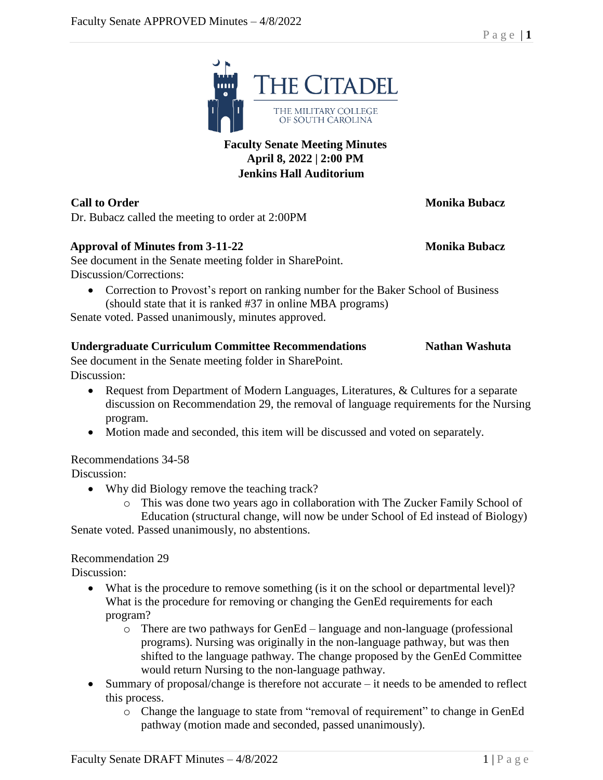# o Change the language to state from "removal of requirement" to change in GenEd

Dr. Bubacz called the meeting to order at 2:00PM

### **Approval of Minutes from 3-11-22 Monika Bubacz**

See document in the Senate meeting folder in SharePoint. Discussion/Corrections:

• Correction to Provost's report on ranking number for the Baker School of Business (should state that it is ranked #37 in online MBA programs)

Senate voted. Passed unanimously, minutes approved.

# **Undergraduate Curriculum Committee Recommendations Nathan Washuta**

See document in the Senate meeting folder in SharePoint. Discussion:

- Request from Department of Modern Languages, Literatures, & Cultures for a separate discussion on Recommendation 29, the removal of language requirements for the Nursing program.
- Motion made and seconded, this item will be discussed and voted on separately.

# Recommendations 34-58

Discussion:

- Why did Biology remove the teaching track?
	- o This was done two years ago in collaboration with The Zucker Family School of

Education (structural change, will now be under School of Ed instead of Biology) Senate voted. Passed unanimously, no abstentions.

# Recommendation 29

Discussion:

- What is the procedure to remove something (is it on the school or departmental level)? What is the procedure for removing or changing the GenEd requirements for each program?
	- o There are two pathways for GenEd language and non-language (professional programs). Nursing was originally in the non-language pathway, but was then shifted to the language pathway. The change proposed by the GenEd Committee would return Nursing to the non-language pathway.
- Summary of proposal/change is therefore not accurate it needs to be amended to reflect this process.
	- pathway (motion made and seconded, passed unanimously).



**April 8, 2022 | 2:00 PM Jenkins Hall Auditorium**

**Call to Order Monika Bubacz**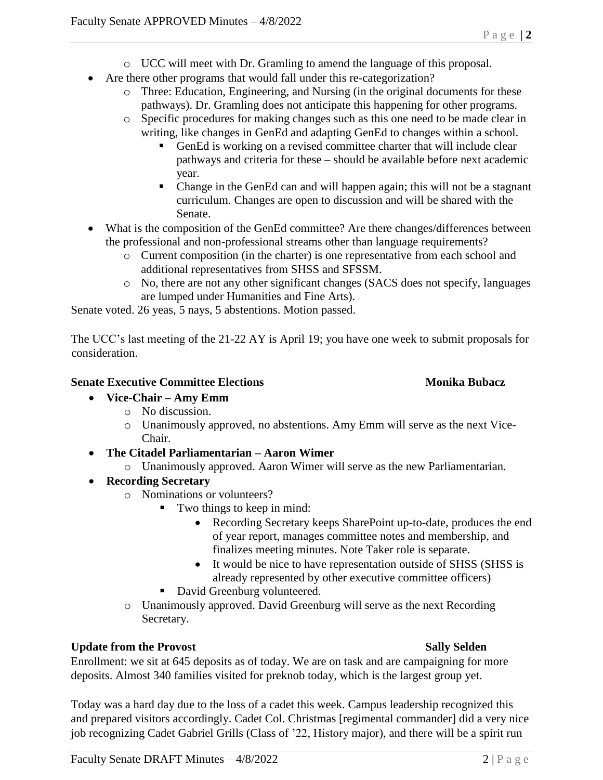- o UCC will meet with Dr. Gramling to amend the language of this proposal.
- Are there other programs that would fall under this re-categorization?
	- o Three: Education, Engineering, and Nursing (in the original documents for these pathways). Dr. Gramling does not anticipate this happening for other programs.
	- o Specific procedures for making changes such as this one need to be made clear in writing, like changes in GenEd and adapting GenEd to changes within a school.
		- GenEd is working on a revised committee charter that will include clear pathways and criteria for these – should be available before next academic year.
		- Change in the GenEd can and will happen again; this will not be a stagnant curriculum. Changes are open to discussion and will be shared with the Senate.
- What is the composition of the GenEd committee? Are there changes/differences between the professional and non-professional streams other than language requirements?
	- o Current composition (in the charter) is one representative from each school and additional representatives from SHSS and SFSSM.
	- o No, there are not any other significant changes (SACS does not specify, languages are lumped under Humanities and Fine Arts).

Senate voted. 26 yeas, 5 nays, 5 abstentions. Motion passed.

The UCC's last meeting of the 21-22 AY is April 19; you have one week to submit proposals for consideration.

### **Senate Executive Committee Elections Monika Bubacz**

- **Vice-Chair – Amy Emm**
	- o No discussion.
	- o Unanimously approved, no abstentions. Amy Emm will serve as the next Vice-Chair.
- **The Citadel Parliamentarian – Aaron Wimer**
	- o Unanimously approved. Aaron Wimer will serve as the new Parliamentarian.
- **Recording Secretary**
	- o Nominations or volunteers?
		- Two things to keep in mind:
			- Recording Secretary keeps SharePoint up-to-date, produces the end of year report, manages committee notes and membership, and finalizes meeting minutes. Note Taker role is separate.
			- It would be nice to have representation outside of SHSS (SHSS is already represented by other executive committee officers)
		- David Greenburg volunteered.
	- o Unanimously approved. David Greenburg will serve as the next Recording Secretary.

### **Update from the Provost Sally Selden**

Enrollment: we sit at 645 deposits as of today. We are on task and are campaigning for more deposits. Almost 340 families visited for preknob today, which is the largest group yet.

Today was a hard day due to the loss of a cadet this week. Campus leadership recognized this and prepared visitors accordingly. Cadet Col. Christmas [regimental commander] did a very nice job recognizing Cadet Gabriel Grills (Class of '22, History major), and there will be a spirit run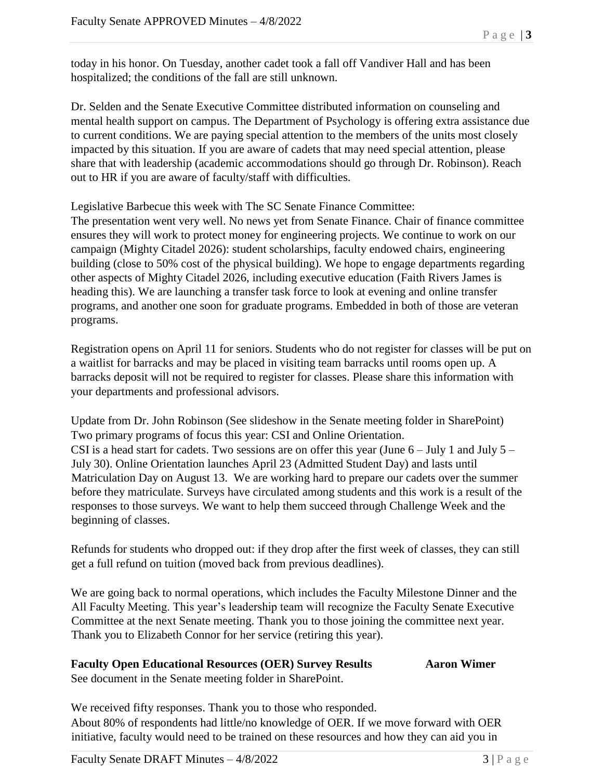today in his honor. On Tuesday, another cadet took a fall off Vandiver Hall and has been hospitalized; the conditions of the fall are still unknown.

Dr. Selden and the Senate Executive Committee distributed information on counseling and mental health support on campus. The Department of Psychology is offering extra assistance due to current conditions. We are paying special attention to the members of the units most closely impacted by this situation. If you are aware of cadets that may need special attention, please share that with leadership (academic accommodations should go through Dr. Robinson). Reach out to HR if you are aware of faculty/staff with difficulties.

Legislative Barbecue this week with The SC Senate Finance Committee:

The presentation went very well. No news yet from Senate Finance. Chair of finance committee ensures they will work to protect money for engineering projects. We continue to work on our campaign (Mighty Citadel 2026): student scholarships, faculty endowed chairs, engineering building (close to 50% cost of the physical building). We hope to engage departments regarding other aspects of Mighty Citadel 2026, including executive education (Faith Rivers James is heading this). We are launching a transfer task force to look at evening and online transfer programs, and another one soon for graduate programs. Embedded in both of those are veteran programs.

Registration opens on April 11 for seniors. Students who do not register for classes will be put on a waitlist for barracks and may be placed in visiting team barracks until rooms open up. A barracks deposit will not be required to register for classes. Please share this information with your departments and professional advisors.

Update from Dr. John Robinson (See slideshow in the Senate meeting folder in SharePoint) Two primary programs of focus this year: CSI and Online Orientation. CSI is a head start for cadets. Two sessions are on offer this year (June  $6 -$  July 1 and July  $5 -$ July 30). Online Orientation launches April 23 (Admitted Student Day) and lasts until Matriculation Day on August 13. We are working hard to prepare our cadets over the summer before they matriculate. Surveys have circulated among students and this work is a result of the responses to those surveys. We want to help them succeed through Challenge Week and the beginning of classes.

Refunds for students who dropped out: if they drop after the first week of classes, they can still get a full refund on tuition (moved back from previous deadlines).

We are going back to normal operations, which includes the Faculty Milestone Dinner and the All Faculty Meeting. This year's leadership team will recognize the Faculty Senate Executive Committee at the next Senate meeting. Thank you to those joining the committee next year. Thank you to Elizabeth Connor for her service (retiring this year).

### **Faculty Open Educational Resources (OER) Survey Results Aaron Wimer** See document in the Senate meeting folder in SharePoint.

We received fifty responses. Thank you to those who responded. About 80% of respondents had little/no knowledge of OER. If we move forward with OER initiative, faculty would need to be trained on these resources and how they can aid you in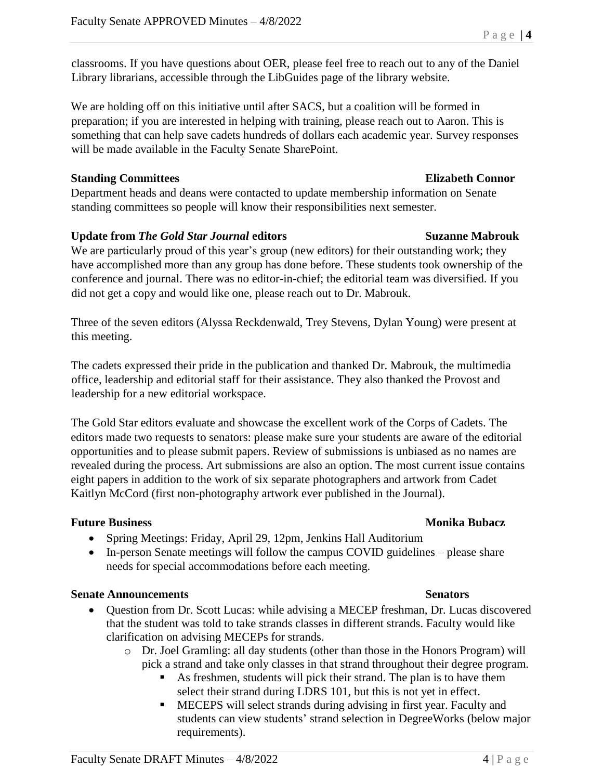classrooms. If you have questions about OER, please feel free to reach out to any of the Daniel Library librarians, accessible through the LibGuides page of the library website.

We are holding off on this initiative until after SACS, but a coalition will be formed in preparation; if you are interested in helping with training, please reach out to Aaron. This is something that can help save cadets hundreds of dollars each academic year. Survey responses will be made available in the Faculty Senate SharePoint.

### **Standing Committees Elizabeth Connor**

Department heads and deans were contacted to update membership information on Senate standing committees so people will know their responsibilities next semester.

### **Update from** *The Gold Star Journal* **editors Suzanne Mabrouk**

We are particularly proud of this year's group (new editors) for their outstanding work; they have accomplished more than any group has done before. These students took ownership of the conference and journal. There was no editor-in-chief; the editorial team was diversified. If you did not get a copy and would like one, please reach out to Dr. Mabrouk.

Three of the seven editors (Alyssa Reckdenwald, Trey Stevens, Dylan Young) were present at this meeting.

The cadets expressed their pride in the publication and thanked Dr. Mabrouk, the multimedia office, leadership and editorial staff for their assistance. They also thanked the Provost and leadership for a new editorial workspace.

The Gold Star editors evaluate and showcase the excellent work of the Corps of Cadets. The editors made two requests to senators: please make sure your students are aware of the editorial opportunities and to please submit papers. Review of submissions is unbiased as no names are revealed during the process. Art submissions are also an option. The most current issue contains eight papers in addition to the work of six separate photographers and artwork from Cadet Kaitlyn McCord (first non-photography artwork ever published in the Journal).

### **Future Business Monika Bubacz**

- Spring Meetings: Friday, April 29, 12pm, Jenkins Hall Auditorium
- In-person Senate meetings will follow the campus COVID guidelines please share needs for special accommodations before each meeting.

### **Senate Announcements Senators**

- Question from Dr. Scott Lucas: while advising a MECEP freshman, Dr. Lucas discovered that the student was told to take strands classes in different strands. Faculty would like clarification on advising MECEPs for strands.
	- o Dr. Joel Gramling: all day students (other than those in the Honors Program) will pick a strand and take only classes in that strand throughout their degree program.
		- As freshmen, students will pick their strand. The plan is to have them select their strand during LDRS 101, but this is not yet in effect.
		- MECEPS will select strands during advising in first year. Faculty and students can view students' strand selection in DegreeWorks (below major requirements).